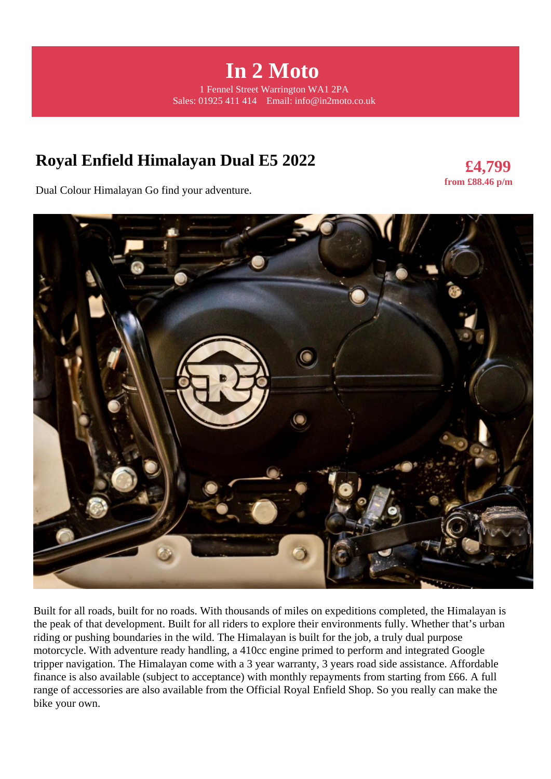**In 2 Moto**  1 Fennel Street Warrington WA1 2PA Sales: 01925 411 414 Email: info@in2moto.co.uk

# **Royal Enfield Himalayan Dual E5 2022**

**£4,799 from £88.46 p/m** 

Dual Colour Himalayan Go find your adventure.



Built for all roads, built for no roads. With thousands of miles on expeditions completed, the Himalayan is the peak of that development. Built for all riders to explore their environments fully. Whether that's urban riding or pushing boundaries in the wild. The Himalayan is built for the job, a truly dual purpose motorcycle. With adventure ready handling, a 410cc engine primed to perform and integrated Google tripper navigation. The Himalayan come with a 3 year warranty, 3 years road side assistance. Affordable finance is also available (subject to acceptance) with monthly repayments from starting from £66. A full range of accessories are also available from the Official Royal Enfield Shop. So you really can make the bike your own.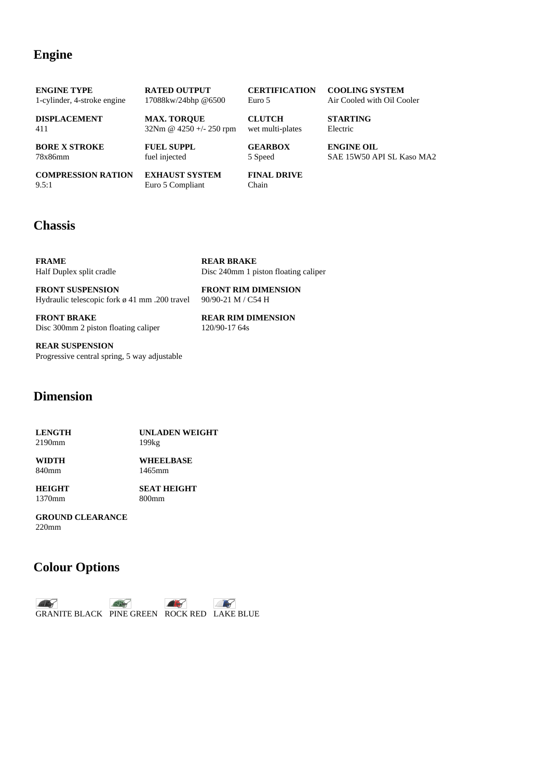#### **Engine**

| <b>COMPRESSION RATION</b>   | <b>EXHAUST SYSTEM</b>      | <b>FINAL DRIVE</b>   |                            |
|-----------------------------|----------------------------|----------------------|----------------------------|
| <b>BORE X STROKE</b>        | <b>FUEL SUPPL</b>          | <b>GEARBOX</b>       | <b>ENGINE OIL</b>          |
| 78x86mm                     | fuel injected              | 5 Speed              | SAE 15W50 API SL Kaso MA2  |
| <b>DISPLACEMENT</b>         | <b>MAX. TOROUE</b>         | <b>CLUTCH</b>        | <b>STARTING</b>            |
| 411                         | $32Nm \& 4250 +/- 250$ rpm | wet multi-plates     | Electric                   |
| <b>ENGINE TYPE</b>          | <b>RATED OUTPUT</b>        | <b>CERTIFICATION</b> | <b>COOLING SYSTEM</b>      |
| 1-cylinder, 4-stroke engine | 17088kw/24bhp @6500        | Euro 5               | Air Cooled with Oil Cooler |
|                             |                            |                      |                            |

**REAR BRAKE**

9.5:1

# **EXHAUST SYSTEM** Euro 5 Compliant

**FINAL DRIVE** Chain

### **Chassis**

**FRAME** Half Duplex split cradle

**FRONT SUSPENSION** Hydraulic telescopic fork ø 41 mm .200 travel

**FRONT BRAKE** Disc 300mm 2 piston floating caliper **REAR RIM DIMENSION** 120/90-17 64s

**FRONT RIM DIMENSION** 90/90-21 M / C54 H

Disc 240mm 1 piston floating caliper

**REAR SUSPENSION** Progressive central spring, 5 way adjustable

#### **Dimension**

| <b>LENGTH</b><br>2190mm | <b>UNLADEN WEIGHT</b><br>199 |  |
|-------------------------|------------------------------|--|
| WIDTH                   | <b>WHEELBASE</b>             |  |
| 840mm                   | 1465mm                       |  |

**HEIGHT** 1370mm **SEAT HEIGHT** 800mm

### **GROUND CLEARANCE**

220mm

### **Colour Options**